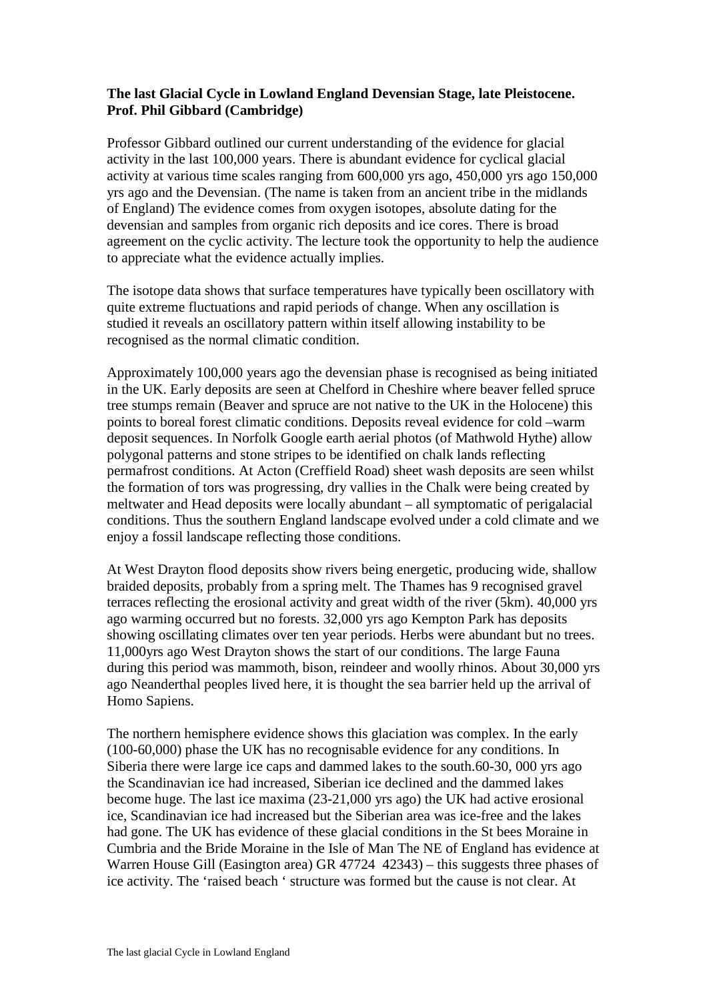## **The last Glacial Cycle in Lowland England Devensian Stage, late Pleistocene. Prof. Phil Gibbard (Cambridge)**

Professor Gibbard outlined our current understanding of the evidence for glacial activity in the last 100,000 years. There is abundant evidence for cyclical glacial activity at various time scales ranging from 600,000 yrs ago, 450,000 yrs ago 150,000 yrs ago and the Devensian. (The name is taken from an ancient tribe in the midlands of England) The evidence comes from oxygen isotopes, absolute dating for the devensian and samples from organic rich deposits and ice cores. There is broad agreement on the cyclic activity. The lecture took the opportunity to help the audience to appreciate what the evidence actually implies.

The isotope data shows that surface temperatures have typically been oscillatory with quite extreme fluctuations and rapid periods of change. When any oscillation is studied it reveals an oscillatory pattern within itself allowing instability to be recognised as the normal climatic condition.

Approximately 100,000 years ago the devensian phase is recognised as being initiated in the UK. Early deposits are seen at Chelford in Cheshire where beaver felled spruce tree stumps remain (Beaver and spruce are not native to the UK in the Holocene) this points to boreal forest climatic conditions. Deposits reveal evidence for cold –warm deposit sequences. In Norfolk Google earth aerial photos (of Mathwold Hythe) allow polygonal patterns and stone stripes to be identified on chalk lands reflecting permafrost conditions. At Acton (Creffield Road) sheet wash deposits are seen whilst the formation of tors was progressing, dry vallies in the Chalk were being created by meltwater and Head deposits were locally abundant – all symptomatic of perigalacial conditions. Thus the southern England landscape evolved under a cold climate and we enjoy a fossil landscape reflecting those conditions.

At West Drayton flood deposits show rivers being energetic, producing wide, shallow braided deposits, probably from a spring melt. The Thames has 9 recognised gravel terraces reflecting the erosional activity and great width of the river (5km). 40,000 yrs ago warming occurred but no forests. 32,000 yrs ago Kempton Park has deposits showing oscillating climates over ten year periods. Herbs were abundant but no trees. 11,000yrs ago West Drayton shows the start of our conditions. The large Fauna during this period was mammoth, bison, reindeer and woolly rhinos. About 30,000 yrs ago Neanderthal peoples lived here, it is thought the sea barrier held up the arrival of Homo Sapiens.

The northern hemisphere evidence shows this glaciation was complex. In the early (100-60,000) phase the UK has no recognisable evidence for any conditions. In Siberia there were large ice caps and dammed lakes to the south.60-30, 000 yrs ago the Scandinavian ice had increased, Siberian ice declined and the dammed lakes become huge. The last ice maxima (23-21,000 yrs ago) the UK had active erosional ice, Scandinavian ice had increased but the Siberian area was ice-free and the lakes had gone. The UK has evidence of these glacial conditions in the St bees Moraine in Cumbria and the Bride Moraine in the Isle of Man The NE of England has evidence at Warren House Gill (Easington area) GR 47724 42343) – this suggests three phases of ice activity. The 'raised beach ' structure was formed but the cause is not clear. At